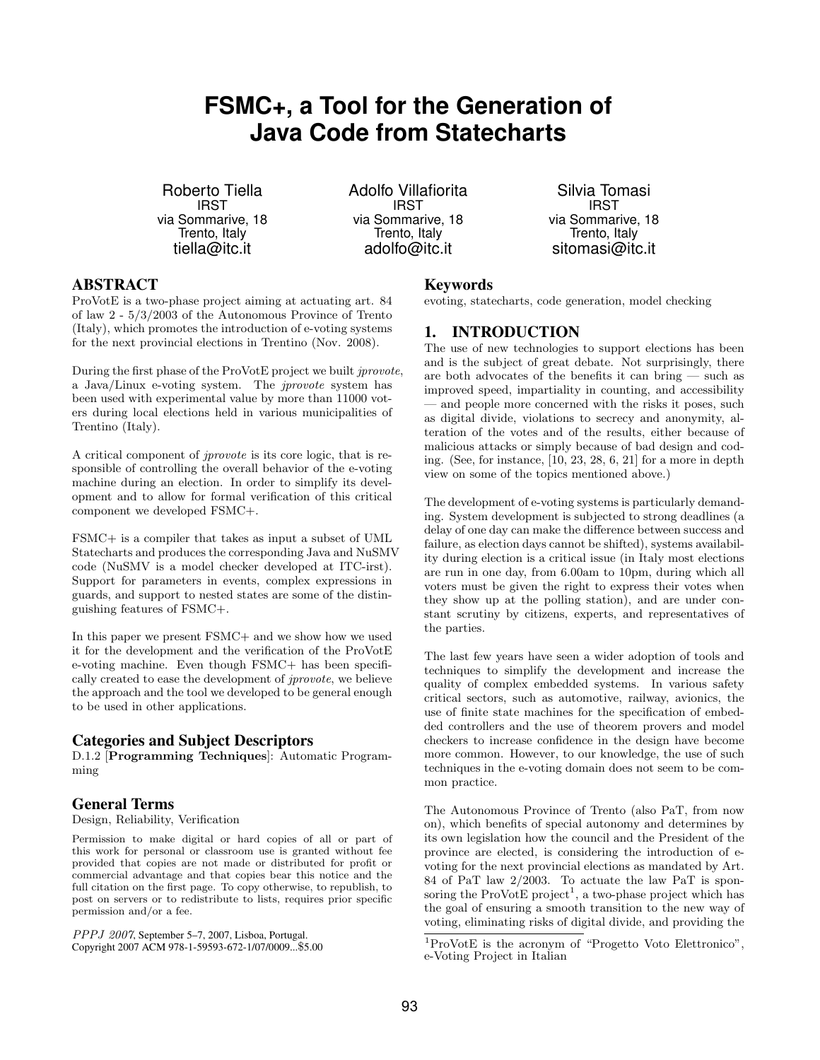# **FSMC+, a Tool for the Generation of Java Code from Statecharts**

Roberto Tiella **IRST** via Sommarive, 18 Trento, Italy tiella@itc.it

Adolfo Villafiorita **IRST** via Sommarive, 18 Trento, Italy adolfo@itc.it

Silvia Tomasi **IRST** via Sommarive, 18 Trento, Italy sitomasi@itc.it

# ABSTRACT

ProVotE is a two-phase project aiming at actuating art. 84 of law 2 - 5/3/2003 of the Autonomous Province of Trento (Italy), which promotes the introduction of e-voting systems for the next provincial elections in Trentino (Nov. 2008).

During the first phase of the ProVotE project we built *iprovote*, a Java/Linux e-voting system. The jprovote system has been used with experimental value by more than 11000 voters during local elections held in various municipalities of Trentino (Italy).

A critical component of jprovote is its core logic, that is responsible of controlling the overall behavior of the e-voting machine during an election. In order to simplify its development and to allow for formal verification of this critical component we developed FSMC+.

FSMC+ is a compiler that takes as input a subset of UML Statecharts and produces the corresponding Java and NuSMV code (NuSMV is a model checker developed at ITC-irst). Support for parameters in events, complex expressions in guards, and support to nested states are some of the distinguishing features of FSMC+.

In this paper we present FSMC+ and we show how we used it for the development and the verification of the ProVotE e-voting machine. Even though FSMC+ has been specifically created to ease the development of jprovote, we believe the approach and the tool we developed to be general enough to be used in other applications.

#### Categories and Subject Descriptors

D.1.2 [Programming Techniques]: Automatic Programming

# General Terms

Design, Reliability, Verification

Permission to make digital or hard copies of all or part of this work for personal or classroom use is granted without fee provided that copies are not made or distributed for profit or commercial advantage and that copies bear this notice and the full citation on the first page. To copy otherwise, to republish, to post on servers or to redistribute to lists, requires prior specific permission and/or a fee.

PPPJ 2007, September 5–7, 2007, Lisboa, Portugal. Copyright 2007 ACM 978-1-59593-672-1/07/0009...\$5.00

#### Keywords

evoting, statecharts, code generation, model checking

# 1. INTRODUCTION

The use of new technologies to support elections has been and is the subject of great debate. Not surprisingly, there are both advocates of the benefits it can bring — such as improved speed, impartiality in counting, and accessibility — and people more concerned with the risks it poses, such as digital divide, violations to secrecy and anonymity, alteration of the votes and of the results, either because of malicious attacks or simply because of bad design and coding. (See, for instance, [10, 23, 28, 6, 21] for a more in depth view on some of the topics mentioned above.)

The development of e-voting systems is particularly demanding. System development is subjected to strong deadlines (a delay of one day can make the difference between success and failure, as election days cannot be shifted), systems availability during election is a critical issue (in Italy most elections are run in one day, from 6.00am to 10pm, during which all voters must be given the right to express their votes when they show up at the polling station), and are under constant scrutiny by citizens, experts, and representatives of the parties.

The last few years have seen a wider adoption of tools and techniques to simplify the development and increase the quality of complex embedded systems. In various safety critical sectors, such as automotive, railway, avionics, the use of finite state machines for the specification of embedded controllers and the use of theorem provers and model checkers to increase confidence in the design have become more common. However, to our knowledge, the use of such techniques in the e-voting domain does not seem to be common practice.

The Autonomous Province of Trento (also PaT, from now on), which benefits of special autonomy and determines by its own legislation how the council and the President of the province are elected, is considering the introduction of evoting for the next provincial elections as mandated by Art. 84 of PaT law 2/2003. To actuate the law PaT is sponsoring the  $\text{ProVot}E$  project<sup>1</sup>, a two-phase project which has the goal of ensuring a smooth transition to the new way of voting, eliminating risks of digital divide, and providing the

<sup>1</sup>ProVotE is the acronym of "Progetto Voto Elettronico", e-Voting Project in Italian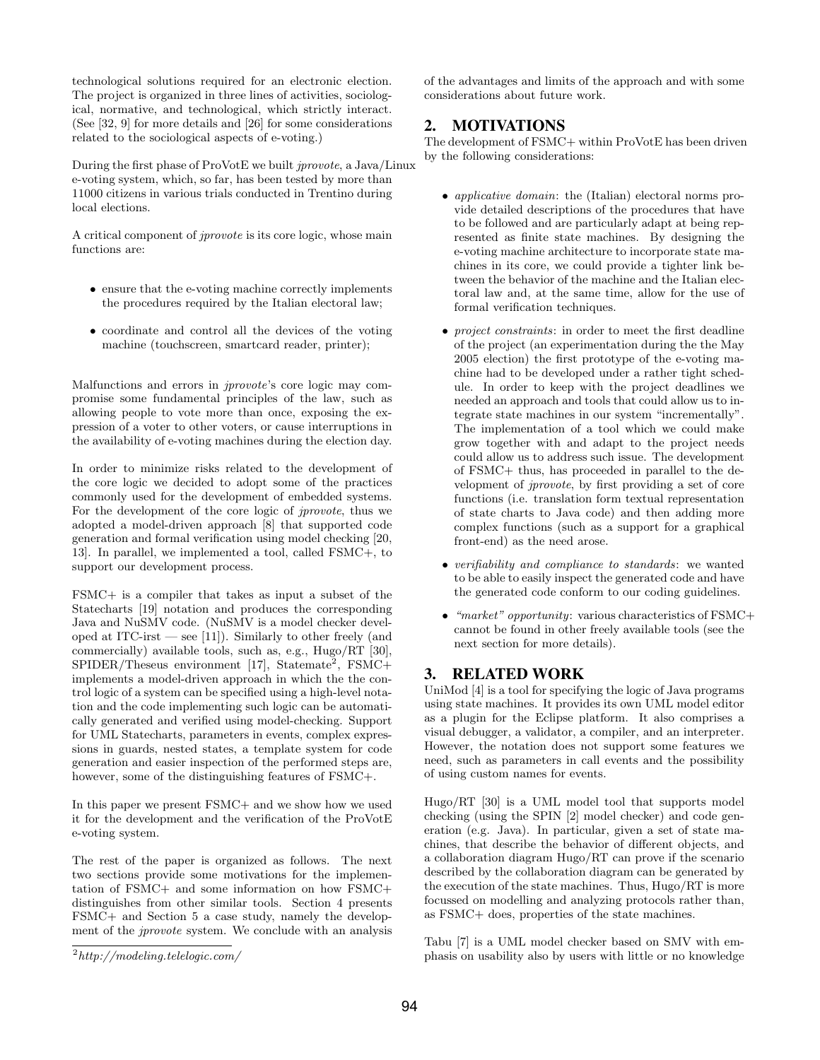technological solutions required for an electronic election. The project is organized in three lines of activities, sociological, normative, and technological, which strictly interact. (See [32, 9] for more details and [26] for some considerations related to the sociological aspects of e-voting.)

During the first phase of ProVotE we built jprovote, a Java/Linux e-voting system, which, so far, has been tested by more than 11000 citizens in various trials conducted in Trentino during local elections.

A critical component of jprovote is its core logic, whose main functions are:

- ensure that the e-voting machine correctly implements the procedures required by the Italian electoral law;
- coordinate and control all the devices of the voting machine (touchscreen, smartcard reader, printer);

Malfunctions and errors in jprovote's core logic may compromise some fundamental principles of the law, such as allowing people to vote more than once, exposing the expression of a voter to other voters, or cause interruptions in the availability of e-voting machines during the election day.

In order to minimize risks related to the development of the core logic we decided to adopt some of the practices commonly used for the development of embedded systems. For the development of the core logic of *jprovote*, thus we adopted a model-driven approach [8] that supported code generation and formal verification using model checking [20, 13]. In parallel, we implemented a tool, called FSMC+, to support our development process.

FSMC+ is a compiler that takes as input a subset of the Statecharts [19] notation and produces the corresponding Java and NuSMV code. (NuSMV is a model checker developed at ITC-irst  $-$  see [11]). Similarly to other freely (and commercially) available tools, such as, e.g., Hugo/RT [30],  $SPIDER/T$ heseus environment [17], Statemate<sup>2</sup>, FSMC+ implements a model-driven approach in which the the control logic of a system can be specified using a high-level notation and the code implementing such logic can be automatically generated and verified using model-checking. Support for UML Statecharts, parameters in events, complex expressions in guards, nested states, a template system for code generation and easier inspection of the performed steps are, however, some of the distinguishing features of FSMC+.

In this paper we present FSMC+ and we show how we used it for the development and the verification of the ProVotE e-voting system.

The rest of the paper is organized as follows. The next two sections provide some motivations for the implementation of FSMC+ and some information on how FSMC+ distinguishes from other similar tools. Section 4 presents FSMC+ and Section 5 a case study, namely the development of the jprovote system. We conclude with an analysis of the advantages and limits of the approach and with some considerations about future work.

# 2. MOTIVATIONS

The development of FSMC+ within ProVotE has been driven by the following considerations:

- applicative domain: the (Italian) electoral norms provide detailed descriptions of the procedures that have to be followed and are particularly adapt at being represented as finite state machines. By designing the e-voting machine architecture to incorporate state machines in its core, we could provide a tighter link between the behavior of the machine and the Italian electoral law and, at the same time, allow for the use of formal verification techniques.
- project constraints: in order to meet the first deadline of the project (an experimentation during the the May 2005 election) the first prototype of the e-voting machine had to be developed under a rather tight schedule. In order to keep with the project deadlines we needed an approach and tools that could allow us to integrate state machines in our system "incrementally". The implementation of a tool which we could make grow together with and adapt to the project needs could allow us to address such issue. The development of FSMC+ thus, has proceeded in parallel to the development of jprovote, by first providing a set of core functions (i.e. translation form textual representation of state charts to Java code) and then adding more complex functions (such as a support for a graphical front-end) as the need arose.
- verifiability and compliance to standards: we wanted to be able to easily inspect the generated code and have the generated code conform to our coding guidelines.
- "market" opportunity: various characteristics of FSMC+ cannot be found in other freely available tools (see the next section for more details).

# 3. RELATED WORK

UniMod [4] is a tool for specifying the logic of Java programs using state machines. It provides its own UML model editor as a plugin for the Eclipse platform. It also comprises a visual debugger, a validator, a compiler, and an interpreter. However, the notation does not support some features we need, such as parameters in call events and the possibility of using custom names for events.

Hugo/RT [30] is a UML model tool that supports model checking (using the SPIN [2] model checker) and code generation (e.g. Java). In particular, given a set of state machines, that describe the behavior of different objects, and a collaboration diagram Hugo/RT can prove if the scenario described by the collaboration diagram can be generated by the execution of the state machines. Thus, Hugo/RT is more focussed on modelling and analyzing protocols rather than, as FSMC+ does, properties of the state machines.

Tabu [7] is a UML model checker based on SMV with emphasis on usability also by users with little or no knowledge

 $^{2}$ http://modeling.telelogic.com/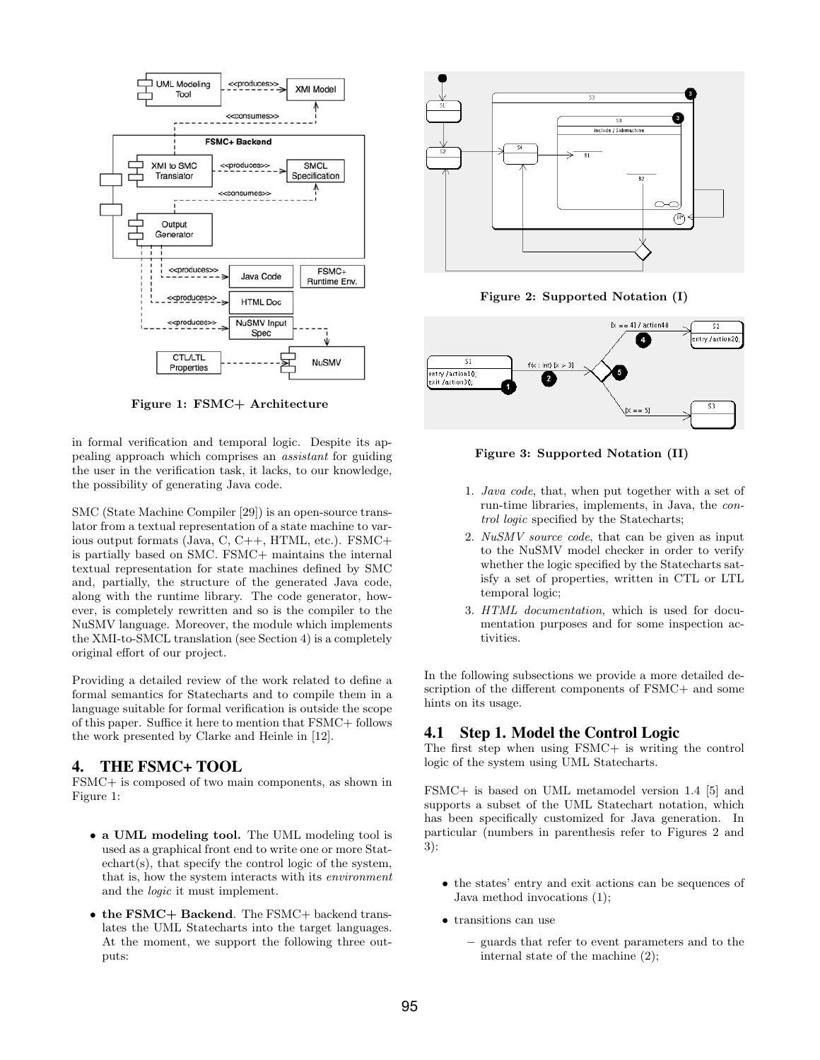

Figure 1: FSMC+ Architecture

in formal verification and temporal logic. Despite its appealing approach which comprises an assistant for guiding the user in the verification task, it lacks, to our knowledge, the possibility of generating Java code.

SMC (State Machine Compiler [29]) is an open-source translator from a textual representation of a state machine to various output formats (Java, C, C++, HTML, etc.). FSMC+ is partially based on SMC. FSMC+ maintains the internal textual representation for state machines defined by SMC and, partially, the structure of the generated Java code, along with the runtime library. The code generator, however, is completely rewritten and so is the compiler to the NuSMV language. Moreover, the module which implements the XMI-to-SMCL translation (see Section 4) is a completely original effort of our project.

Providing a detailed review of the work related to define a formal semantics for Statecharts and to compile them in a language suitable for formal verification is outside the scope of this paper. Suffice it here to mention that FSMC+ follows the work presented by Clarke and Heinle in [12].

#### 4. THE FSMC+ TOOL

FSMC+ is composed of two main components, as shown in Figure 1:

- a UML modeling tool. The UML modeling tool is used as a graphical front end to write one or more Statechart(s), that specify the control logic of the system, that is, how the system interacts with its environment and the logic it must implement.
- the FSMC+ Backend. The FSMC+ backend translates the UML Statecharts into the target languages. At the moment, we support the following three outputs:



Figure 2: Supported Notation (I)



Figure 3: Supported Notation (II)

- 1. Java code, that, when put together with a set of run-time libraries, implements, in Java, the control logic specified by the Statecharts;
- 2. NuSMV source code, that can be given as input to the NuSMV model checker in order to verify whether the logic specified by the Statecharts satisfy a set of properties, written in CTL or LTL temporal logic;
- 3. HTML documentation, which is used for documentation purposes and for some inspection activities.

In the following subsections we provide a more detailed description of the different components of FSMC+ and some hints on its usage.

# 4.1 Step 1. Model the Control Logic

The first step when using FSMC+ is writing the control logic of the system using UML Statecharts.

FSMC+ is based on UML metamodel version 1.4 [5] and supports a subset of the UML Statechart notation, which has been specifically customized for Java generation. In particular (numbers in parenthesis refer to Figures 2 and 3):

- the states' entry and exit actions can be sequences of Java method invocations (1);
- transitions can use
	- guards that refer to event parameters and to the internal state of the machine (2);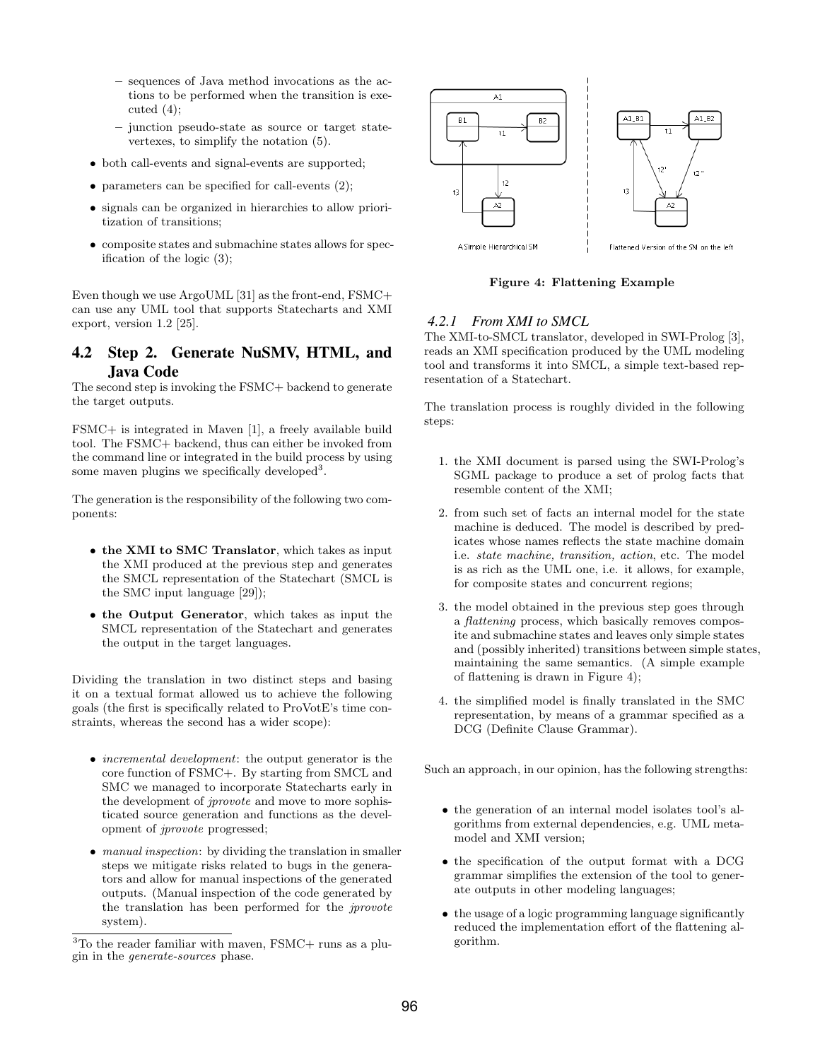- sequences of Java method invocations as the actions to be performed when the transition is executed  $(4)$ ;
- junction pseudo-state as source or target statevertexes, to simplify the notation (5).
- both call-events and signal-events are supported;
- parameters can be specified for call-events  $(2)$ ;
- signals can be organized in hierarchies to allow prioritization of transitions;
- composite states and submachine states allows for specification of the logic (3);

Even though we use ArgoUML [31] as the front-end, FSMC+ can use any UML tool that supports Statecharts and XMI export, version 1.2 [25].

# 4.2 Step 2. Generate NuSMV, HTML, and Java Code

The second step is invoking the FSMC+ backend to generate the target outputs.

FSMC+ is integrated in Maven [1], a freely available build tool. The FSMC+ backend, thus can either be invoked from the command line or integrated in the build process by using some maven plugins we specifically developed<sup>3</sup>.

The generation is the responsibility of the following two components:

- the XMI to SMC Translator, which takes as input the XMI produced at the previous step and generates the SMCL representation of the Statechart (SMCL is the SMC input language [29]);
- the Output Generator, which takes as input the SMCL representation of the Statechart and generates the output in the target languages.

Dividing the translation in two distinct steps and basing it on a textual format allowed us to achieve the following goals (the first is specifically related to ProVotE's time constraints, whereas the second has a wider scope):

- incremental development: the output generator is the core function of FSMC+. By starting from SMCL and SMC we managed to incorporate Statecharts early in the development of jprovote and move to more sophisticated source generation and functions as the development of jprovote progressed;
- manual inspection: by dividing the translation in smaller steps we mitigate risks related to bugs in the generators and allow for manual inspections of the generated outputs. (Manual inspection of the code generated by the translation has been performed for the jprovote system).



Figure 4: Flattening Example

# *4.2.1 From XMI to SMCL*

The XMI-to-SMCL translator, developed in SWI-Prolog [3], reads an XMI specification produced by the UML modeling tool and transforms it into SMCL, a simple text-based representation of a Statechart.

The translation process is roughly divided in the following steps:

- 1. the XMI document is parsed using the SWI-Prolog's SGML package to produce a set of prolog facts that resemble content of the XMI;
- 2. from such set of facts an internal model for the state machine is deduced. The model is described by predicates whose names reflects the state machine domain i.e. state machine, transition, action, etc. The model is as rich as the UML one, i.e. it allows, for example, for composite states and concurrent regions;
- 3. the model obtained in the previous step goes through a flattening process, which basically removes composite and submachine states and leaves only simple states and (possibly inherited) transitions between simple states, maintaining the same semantics. (A simple example of flattening is drawn in Figure 4);
- 4. the simplified model is finally translated in the SMC representation, by means of a grammar specified as a DCG (Definite Clause Grammar).

Such an approach, in our opinion, has the following strengths:

- the generation of an internal model isolates tool's algorithms from external dependencies, e.g. UML metamodel and XMI version;
- the specification of the output format with a DCG grammar simplifies the extension of the tool to generate outputs in other modeling languages;
- the usage of a logic programming language significantly reduced the implementation effort of the flattening algorithm.

<sup>3</sup>To the reader familiar with maven, FSMC+ runs as a plugin in the generate-sources phase.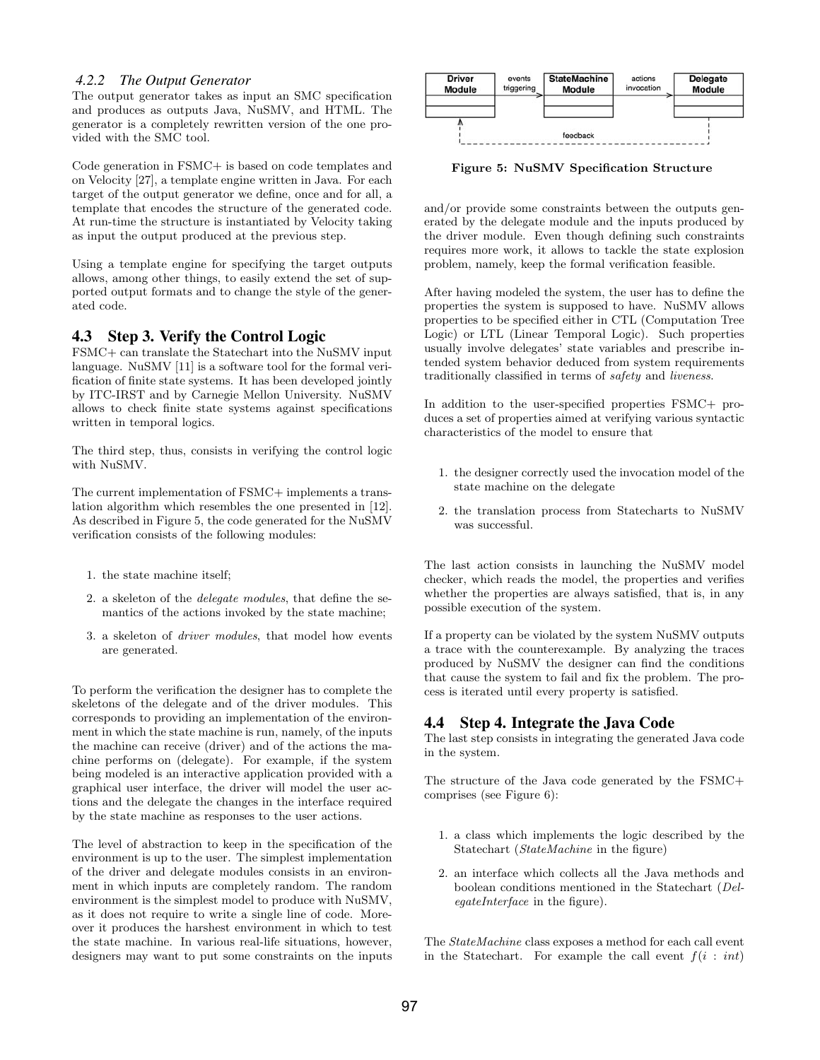#### *4.2.2 The Output Generator*

The output generator takes as input an SMC specification and produces as outputs Java, NuSMV, and HTML. The generator is a completely rewritten version of the one provided with the SMC tool.

Code generation in FSMC+ is based on code templates and on Velocity [27], a template engine written in Java. For each target of the output generator we define, once and for all, a template that encodes the structure of the generated code. At run-time the structure is instantiated by Velocity taking as input the output produced at the previous step.

Using a template engine for specifying the target outputs allows, among other things, to easily extend the set of supported output formats and to change the style of the generated code.

#### 4.3 Step 3. Verify the Control Logic

FSMC+ can translate the Statechart into the NuSMV input language. NuSMV [11] is a software tool for the formal verification of finite state systems. It has been developed jointly by ITC-IRST and by Carnegie Mellon University. NuSMV allows to check finite state systems against specifications written in temporal logics.

The third step, thus, consists in verifying the control logic with NuSMV.

The current implementation of FSMC+ implements a translation algorithm which resembles the one presented in [12]. As described in Figure 5, the code generated for the NuSMV verification consists of the following modules:

- 1. the state machine itself;
- 2. a skeleton of the delegate modules, that define the semantics of the actions invoked by the state machine;
- 3. a skeleton of driver modules, that model how events are generated.

To perform the verification the designer has to complete the skeletons of the delegate and of the driver modules. This corresponds to providing an implementation of the environment in which the state machine is run, namely, of the inputs the machine can receive (driver) and of the actions the machine performs on (delegate). For example, if the system being modeled is an interactive application provided with a graphical user interface, the driver will model the user actions and the delegate the changes in the interface required by the state machine as responses to the user actions.

The level of abstraction to keep in the specification of the environment is up to the user. The simplest implementation of the driver and delegate modules consists in an environment in which inputs are completely random. The random environment is the simplest model to produce with NuSMV, as it does not require to write a single line of code. Moreover it produces the harshest environment in which to test the state machine. In various real-life situations, however, designers may want to put some constraints on the inputs



Figure 5: NuSMV Specification Structure

and/or provide some constraints between the outputs generated by the delegate module and the inputs produced by the driver module. Even though defining such constraints requires more work, it allows to tackle the state explosion problem, namely, keep the formal verification feasible.

After having modeled the system, the user has to define the properties the system is supposed to have. NuSMV allows properties to be specified either in CTL (Computation Tree Logic) or LTL (Linear Temporal Logic). Such properties usually involve delegates' state variables and prescribe intended system behavior deduced from system requirements traditionally classified in terms of safety and liveness.

In addition to the user-specified properties FSMC+ produces a set of properties aimed at verifying various syntactic characteristics of the model to ensure that

- 1. the designer correctly used the invocation model of the state machine on the delegate
- 2. the translation process from Statecharts to NuSMV was successful.

The last action consists in launching the NuSMV model checker, which reads the model, the properties and verifies whether the properties are always satisfied, that is, in any possible execution of the system.

If a property can be violated by the system NuSMV outputs a trace with the counterexample. By analyzing the traces produced by NuSMV the designer can find the conditions that cause the system to fail and fix the problem. The process is iterated until every property is satisfied.

## 4.4 Step 4. Integrate the Java Code

The last step consists in integrating the generated Java code in the system.

The structure of the Java code generated by the FSMC+ comprises (see Figure 6):

- 1. a class which implements the logic described by the Statechart (StateMachine in the figure)
- 2. an interface which collects all the Java methods and boolean conditions mentioned in the Statechart (DelegateInterface in the figure).

The StateMachine class exposes a method for each call event in the Statechart. For example the call event  $f(i : int)$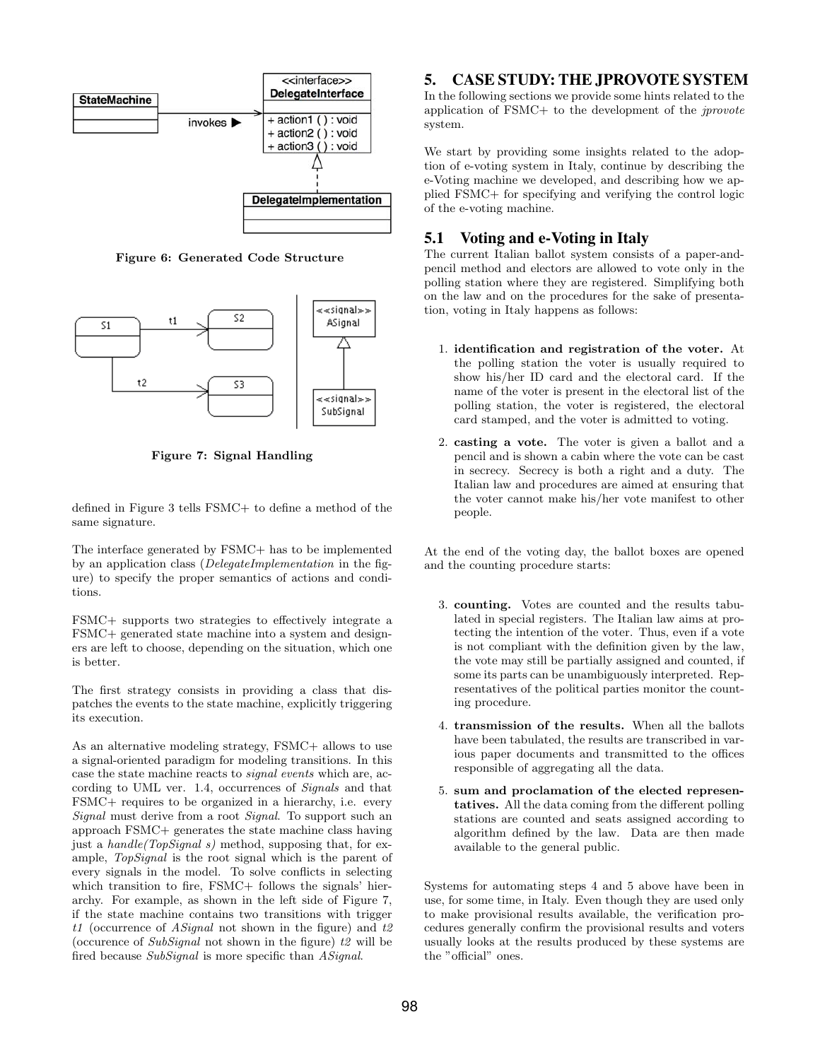

Figure 6: Generated Code Structure



Figure 7: Signal Handling

defined in Figure 3 tells FSMC+ to define a method of the same signature.

The interface generated by FSMC+ has to be implemented by an application class (DelegateImplementation in the figure) to specify the proper semantics of actions and conditions.

FSMC+ supports two strategies to effectively integrate a FSMC+ generated state machine into a system and designers are left to choose, depending on the situation, which one is better.

The first strategy consists in providing a class that dispatches the events to the state machine, explicitly triggering its execution.

As an alternative modeling strategy, FSMC+ allows to use a signal-oriented paradigm for modeling transitions. In this case the state machine reacts to signal events which are, according to UML ver. 1.4, occurrences of Signals and that FSMC+ requires to be organized in a hierarchy, i.e. every Signal must derive from a root Signal. To support such an approach FSMC+ generates the state machine class having just a handle (TopSignal s) method, supposing that, for example, TopSignal is the root signal which is the parent of every signals in the model. To solve conflicts in selecting which transition to fire, FSMC+ follows the signals' hierarchy. For example, as shown in the left side of Figure 7, if the state machine contains two transitions with trigger t1 (occurrence of *ASignal* not shown in the figure) and  $t2$ (occurence of  $SubSignal$  not shown in the figure)  $t2$  will be fired because SubSignal is more specific than ASignal.

# 5. CASE STUDY: THE JPROVOTE SYSTEM

In the following sections we provide some hints related to the application of FSMC+ to the development of the jprovote system.

We start by providing some insights related to the adoption of e-voting system in Italy, continue by describing the e-Voting machine we developed, and describing how we applied FSMC+ for specifying and verifying the control logic of the e-voting machine.

## 5.1 Voting and e-Voting in Italy

The current Italian ballot system consists of a paper-andpencil method and electors are allowed to vote only in the polling station where they are registered. Simplifying both on the law and on the procedures for the sake of presentation, voting in Italy happens as follows:

- 1. identification and registration of the voter. At the polling station the voter is usually required to show his/her ID card and the electoral card. If the name of the voter is present in the electoral list of the polling station, the voter is registered, the electoral card stamped, and the voter is admitted to voting.
- 2. casting a vote. The voter is given a ballot and a pencil and is shown a cabin where the vote can be cast in secrecy. Secrecy is both a right and a duty. The Italian law and procedures are aimed at ensuring that the voter cannot make his/her vote manifest to other people.

At the end of the voting day, the ballot boxes are opened and the counting procedure starts:

- 3. counting. Votes are counted and the results tabulated in special registers. The Italian law aims at protecting the intention of the voter. Thus, even if a vote is not compliant with the definition given by the law, the vote may still be partially assigned and counted, if some its parts can be unambiguously interpreted. Representatives of the political parties monitor the counting procedure.
- 4. transmission of the results. When all the ballots have been tabulated, the results are transcribed in various paper documents and transmitted to the offices responsible of aggregating all the data.
- 5. sum and proclamation of the elected representatives. All the data coming from the different polling stations are counted and seats assigned according to algorithm defined by the law. Data are then made available to the general public.

Systems for automating steps 4 and 5 above have been in use, for some time, in Italy. Even though they are used only to make provisional results available, the verification procedures generally confirm the provisional results and voters usually looks at the results produced by these systems are the "official" ones.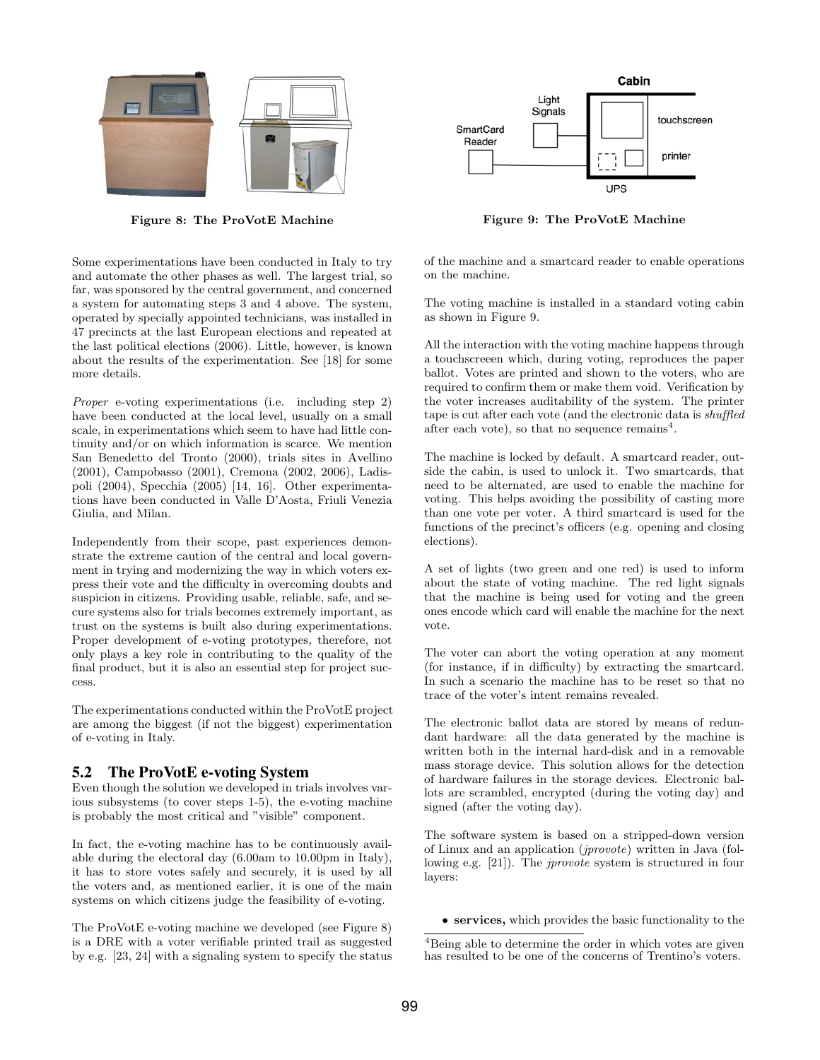

Figure 8: The ProVotE Machine

Some experimentations have been conducted in Italy to try and automate the other phases as well. The largest trial, so far, was sponsored by the central government, and concerned a system for automating steps 3 and 4 above. The system, operated by specially appointed technicians, was installed in 47 precincts at the last European elections and repeated at the last political elections (2006). Little, however, is known about the results of the experimentation. See [18] for some more details.

Proper e-voting experimentations (i.e. including step 2) have been conducted at the local level, usually on a small scale, in experimentations which seem to have had little continuity and/or on which information is scarce. We mention San Benedetto del Tronto (2000), trials sites in Avellino (2001), Campobasso (2001), Cremona (2002, 2006), Ladispoli (2004), Specchia (2005) [14, 16]. Other experimentations have been conducted in Valle D'Aosta, Friuli Venezia Giulia, and Milan.

Independently from their scope, past experiences demonstrate the extreme caution of the central and local government in trying and modernizing the way in which voters express their vote and the difficulty in overcoming doubts and suspicion in citizens. Providing usable, reliable, safe, and secure systems also for trials becomes extremely important, as trust on the systems is built also during experimentations. Proper development of e-voting prototypes, therefore, not only plays a key role in contributing to the quality of the final product, but it is also an essential step for project success.

The experimentations conducted within the ProVotE project are among the biggest (if not the biggest) experimentation of e-voting in Italy.

## 5.2 The ProVotE e-voting System

Even though the solution we developed in trials involves various subsystems (to cover steps 1-5), the e-voting machine is probably the most critical and "visible" component.

In fact, the e-voting machine has to be continuously available during the electoral day (6.00am to 10.00pm in Italy), it has to store votes safely and securely, it is used by all the voters and, as mentioned earlier, it is one of the main systems on which citizens judge the feasibility of e-voting.

The ProVotE e-voting machine we developed (see Figure 8) is a DRE with a voter verifiable printed trail as suggested by e.g. [23, 24] with a signaling system to specify the status



Figure 9: The ProVotE Machine

of the machine and a smartcard reader to enable operations on the machine.

The voting machine is installed in a standard voting cabin as shown in Figure 9.

All the interaction with the voting machine happens through a touchscreeen which, during voting, reproduces the paper ballot. Votes are printed and shown to the voters, who are required to confirm them or make them void. Verification by the voter increases auditability of the system. The printer tape is cut after each vote (and the electronic data is shuffled after each vote), so that no sequence remains<sup>4</sup>.

The machine is locked by default. A smartcard reader, outside the cabin, is used to unlock it. Two smartcards, that need to be alternated, are used to enable the machine for voting. This helps avoiding the possibility of casting more than one vote per voter. A third smartcard is used for the functions of the precinct's officers (e.g. opening and closing elections).

A set of lights (two green and one red) is used to inform about the state of voting machine. The red light signals that the machine is being used for voting and the green ones encode which card will enable the machine for the next vote.

The voter can abort the voting operation at any moment (for instance, if in difficulty) by extracting the smartcard. In such a scenario the machine has to be reset so that no trace of the voter's intent remains revealed.

The electronic ballot data are stored by means of redundant hardware: all the data generated by the machine is written both in the internal hard-disk and in a removable mass storage device. This solution allows for the detection of hardware failures in the storage devices. Electronic ballots are scrambled, encrypted (during the voting day) and signed (after the voting day).

The software system is based on a stripped-down version of Linux and an application (jprovote) written in Java (following e.g. [21]). The jprovote system is structured in four layers:

• services, which provides the basic functionality to the

<sup>4</sup>Being able to determine the order in which votes are given has resulted to be one of the concerns of Trentino's voters.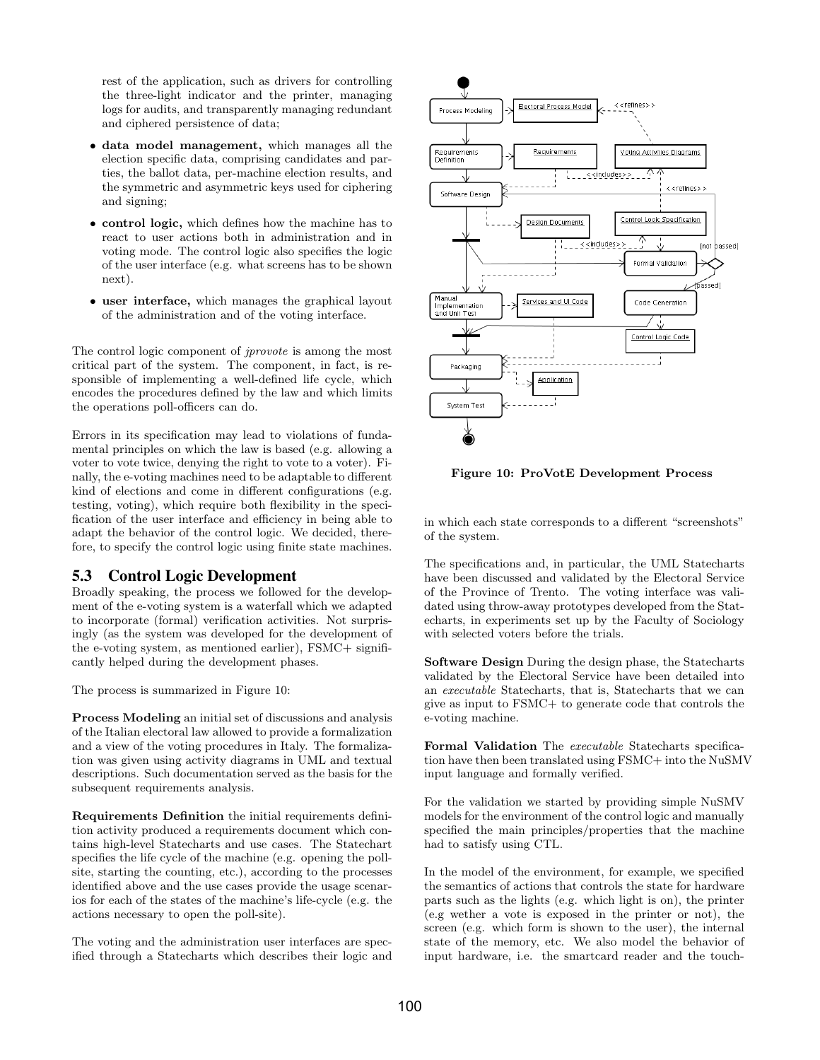rest of the application, such as drivers for controlling the three-light indicator and the printer, managing logs for audits, and transparently managing redundant and ciphered persistence of data;

- data model management, which manages all the election specific data, comprising candidates and parties, the ballot data, per-machine election results, and the symmetric and asymmetric keys used for ciphering and signing;
- control logic, which defines how the machine has to react to user actions both in administration and in voting mode. The control logic also specifies the logic of the user interface (e.g. what screens has to be shown next).
- user interface, which manages the graphical layout of the administration and of the voting interface.

The control logic component of jprovote is among the most critical part of the system. The component, in fact, is responsible of implementing a well-defined life cycle, which encodes the procedures defined by the law and which limits the operations poll-officers can do.

Errors in its specification may lead to violations of fundamental principles on which the law is based (e.g. allowing a voter to vote twice, denying the right to vote to a voter). Finally, the e-voting machines need to be adaptable to different kind of elections and come in different configurations (e.g. testing, voting), which require both flexibility in the specification of the user interface and efficiency in being able to adapt the behavior of the control logic. We decided, therefore, to specify the control logic using finite state machines.

#### 5.3 Control Logic Development

Broadly speaking, the process we followed for the development of the e-voting system is a waterfall which we adapted to incorporate (formal) verification activities. Not surprisingly (as the system was developed for the development of the e-voting system, as mentioned earlier), FSMC+ significantly helped during the development phases.

The process is summarized in Figure 10:

Process Modeling an initial set of discussions and analysis of the Italian electoral law allowed to provide a formalization and a view of the voting procedures in Italy. The formalization was given using activity diagrams in UML and textual descriptions. Such documentation served as the basis for the subsequent requirements analysis.

Requirements Definition the initial requirements definition activity produced a requirements document which contains high-level Statecharts and use cases. The Statechart specifies the life cycle of the machine (e.g. opening the pollsite, starting the counting, etc.), according to the processes identified above and the use cases provide the usage scenarios for each of the states of the machine's life-cycle (e.g. the actions necessary to open the poll-site).

The voting and the administration user interfaces are specified through a Statecharts which describes their logic and



Figure 10: ProVotE Development Process

in which each state corresponds to a different "screenshots" of the system.

The specifications and, in particular, the UML Statecharts have been discussed and validated by the Electoral Service of the Province of Trento. The voting interface was validated using throw-away prototypes developed from the Statecharts, in experiments set up by the Faculty of Sociology with selected voters before the trials.

Software Design During the design phase, the Statecharts validated by the Electoral Service have been detailed into an executable Statecharts, that is, Statecharts that we can give as input to FSMC+ to generate code that controls the e-voting machine.

Formal Validation The executable Statecharts specification have then been translated using FSMC+ into the NuSMV input language and formally verified.

For the validation we started by providing simple NuSMV models for the environment of the control logic and manually specified the main principles/properties that the machine had to satisfy using CTL.

In the model of the environment, for example, we specified the semantics of actions that controls the state for hardware parts such as the lights (e.g. which light is on), the printer (e.g wether a vote is exposed in the printer or not), the screen (e.g. which form is shown to the user), the internal state of the memory, etc. We also model the behavior of input hardware, i.e. the smartcard reader and the touch-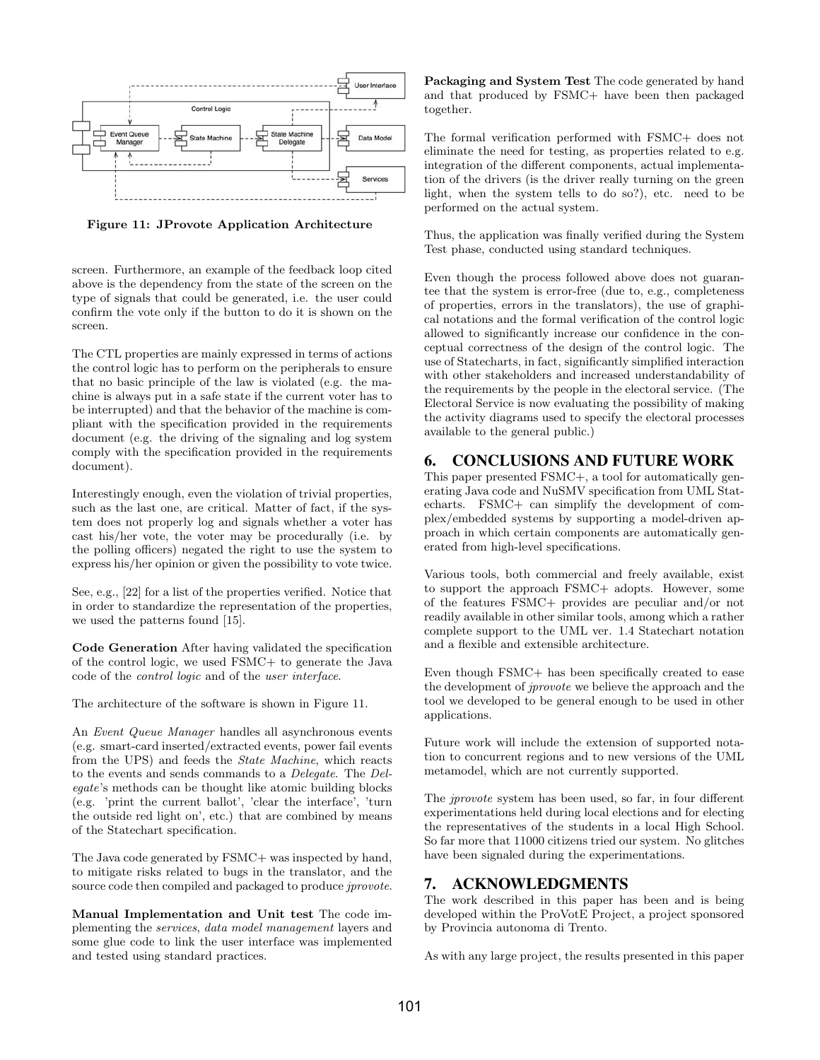

Figure 11: JProvote Application Architecture

screen. Furthermore, an example of the feedback loop cited above is the dependency from the state of the screen on the type of signals that could be generated, i.e. the user could confirm the vote only if the button to do it is shown on the screen.

The CTL properties are mainly expressed in terms of actions the control logic has to perform on the peripherals to ensure that no basic principle of the law is violated (e.g. the machine is always put in a safe state if the current voter has to be interrupted) and that the behavior of the machine is compliant with the specification provided in the requirements document (e.g. the driving of the signaling and log system comply with the specification provided in the requirements document).

Interestingly enough, even the violation of trivial properties, such as the last one, are critical. Matter of fact, if the system does not properly log and signals whether a voter has cast his/her vote, the voter may be procedurally (i.e. by the polling officers) negated the right to use the system to express his/her opinion or given the possibility to vote twice.

See, e.g., [22] for a list of the properties verified. Notice that in order to standardize the representation of the properties, we used the patterns found [15].

Code Generation After having validated the specification of the control logic, we used FSMC+ to generate the Java code of the control logic and of the user interface.

The architecture of the software is shown in Figure 11.

An Event Queue Manager handles all asynchronous events (e.g. smart-card inserted/extracted events, power fail events from the UPS) and feeds the State Machine, which reacts to the events and sends commands to a Delegate. The Delegate's methods can be thought like atomic building blocks (e.g. 'print the current ballot', 'clear the interface', 'turn the outside red light on', etc.) that are combined by means of the Statechart specification.

The Java code generated by FSMC+ was inspected by hand, to mitigate risks related to bugs in the translator, and the source code then compiled and packaged to produce *jprovote*.

Manual Implementation and Unit test The code implementing the services, data model management layers and some glue code to link the user interface was implemented and tested using standard practices.

Packaging and System Test The code generated by hand and that produced by FSMC+ have been then packaged together.

The formal verification performed with FSMC+ does not eliminate the need for testing, as properties related to e.g. integration of the different components, actual implementation of the drivers (is the driver really turning on the green light, when the system tells to do so?), etc. need to be performed on the actual system.

Thus, the application was finally verified during the System Test phase, conducted using standard techniques.

Even though the process followed above does not guarantee that the system is error-free (due to, e.g., completeness of properties, errors in the translators), the use of graphical notations and the formal verification of the control logic allowed to significantly increase our confidence in the conceptual correctness of the design of the control logic. The use of Statecharts, in fact, significantly simplified interaction with other stakeholders and increased understandability of the requirements by the people in the electoral service. (The Electoral Service is now evaluating the possibility of making the activity diagrams used to specify the electoral processes available to the general public.)

# 6. CONCLUSIONS AND FUTURE WORK

This paper presented FSMC+, a tool for automatically generating Java code and NuSMV specification from UML Statecharts. FSMC+ can simplify the development of complex/embedded systems by supporting a model-driven approach in which certain components are automatically generated from high-level specifications.

Various tools, both commercial and freely available, exist to support the approach FSMC+ adopts. However, some of the features FSMC+ provides are peculiar and/or not readily available in other similar tools, among which a rather complete support to the UML ver. 1.4 Statechart notation and a flexible and extensible architecture.

Even though FSMC+ has been specifically created to ease the development of jprovote we believe the approach and the tool we developed to be general enough to be used in other applications.

Future work will include the extension of supported notation to concurrent regions and to new versions of the UML metamodel, which are not currently supported.

The *iprovote* system has been used, so far, in four different experimentations held during local elections and for electing the representatives of the students in a local High School. So far more that 11000 citizens tried our system. No glitches have been signaled during the experimentations.

## 7. ACKNOWLEDGMENTS

The work described in this paper has been and is being developed within the ProVotE Project, a project sponsored by Provincia autonoma di Trento.

As with any large project, the results presented in this paper